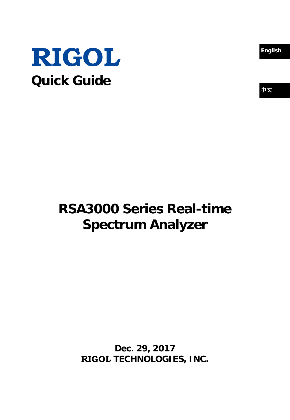



# 中文

# **RSA3000 Series Real-time Spectrum Analyzer**

**Dec. 29, 2017 RIGOL TECHNOLOGIES, INC.**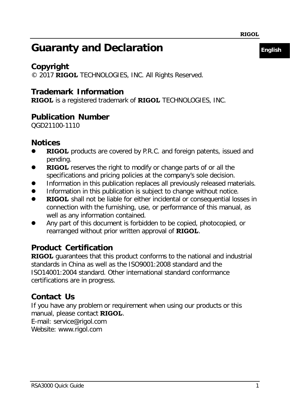### **Guaranty and Declaration English**

### **Copyright**

© 2017 **RIGOL** TECHNOLOGIES, INC. All Rights Reserved.

### **Trademark Information**

**RIGOL** is a registered trademark of **RIGOL** TECHNOLOGIES, INC.

### **Publication Number**

QGD21100-1110

### **Notices**

- **RIGOL** products are covered by P.R.C. and foreign patents, issued and pending.
- **RIGOL** reserves the right to modify or change parts of or all the specifications and pricing policies at the company's sole decision.
- Information in this publication replaces all previously released materials.
- Information in this publication is subject to change without notice.
- **RIGOL** shall not be liable for either incidental or consequential losses in connection with the furnishing, use, or performance of this manual, as well as any information contained.
- Any part of this document is forbidden to be copied, photocopied, or rearranged without prior written approval of **RIGOL**.

### **Product Certification**

**RIGOL** guarantees that this product conforms to the national and industrial standards in China as well as the ISO9001:2008 standard and the ISO14001:2004 standard. Other international standard conformance certifications are in progress.

### **Contact Us**

If you have any problem or requirement when using our products or this manual, please contact **RIGOL**.

E-mail: service@rigol.com

Website: [www.rigol.com](http://www.rigol.com/)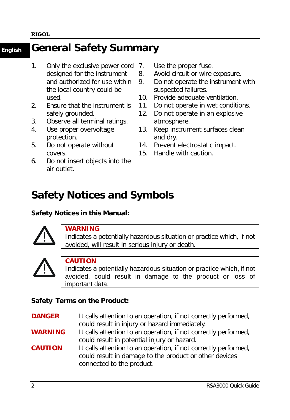### **English General Safety Summary**

- 1. Only the exclusive power cord designed for the instrument and authorized for use within the local country could be used.
- 2. Ensure that the instrument is safely grounded.
- 3. Observe all terminal ratings.
- 4. Use proper overvoltage protection.
- 5. Do not operate without covers.
- 6. Do not insert objects into the air outlet.
- Use the proper fuse.
- 8. Avoid circuit or wire exposure.
- 9. Do not operate the instrument with suspected failures.
- 10. Provide adequate ventilation.
- 11. Do not operate in wet conditions.
- 12. Do not operate in an explosive atmosphere.
- 13. Keep instrument surfaces clean and dry.
- 14. Prevent electrostatic impact.
- 15. Handle with caution.

### **Safety Notices and Symbols**

#### **Safety Notices in this Manual:**



#### **WARNING**

Indicates a potentially hazardous situation or practice which, if not avoided, will result in serious injury or death.



### **CAUTION**

Indicates a potentially hazardous situation or practice which, if not avoided, could result in damage to the product or loss of important data.

### **Safety Terms on the Product:**

**DANGER** It calls attention to an operation, if not correctly performed, could result in injury or hazard immediately.

- **WARNING** It calls attention to an operation, if not correctly performed, could result in potential injury or hazard.
- **CAUTION** It calls attention to an operation, if not correctly performed, could result in damage to the product or other devices connected to the product.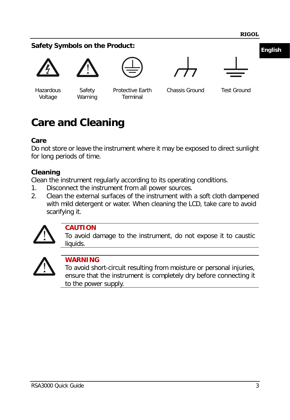### **English Safety Symbols on the Product:**





Hazardous Voltage

Safety Warning

Protective Earth Terminal





Chassis Ground Test Ground

## **Care and Cleaning**

### **Care**

Do not store or leave the instrument where it may be exposed to direct sunlight for long periods of time.

### **Cleaning**

Clean the instrument regularly according to its operating conditions.

- 1. Disconnect the instrument from all power sources.
- 2. Clean the external surfaces of the instrument with a soft cloth dampened with mild detergent or water. When cleaning the LCD, take care to avoid scarifying it.



### **CAUTION**

To avoid damage to the instrument, do not expose it to caustic liquids.



### **WARNING**

To avoid short-circuit resulting from moisture or personal injuries, ensure that the instrument is completely dry before connecting it to the power supply.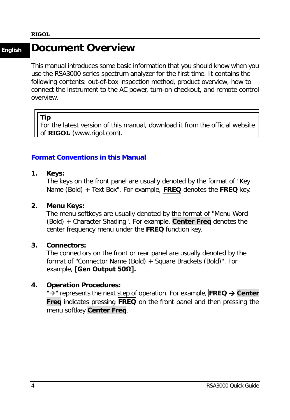### **English Document Overview**

This manual introduces some basic information that you should know when you use the RSA3000 series spectrum analyzer for the first time. It contains the following contents: out-of-box inspection method, product overview, how to connect the instrument to the AC power, turn-on checkout, and remote control overview.

#### **Tip**

For the latest version of this manual, download it from the official website of **RIGOL** [\(www.rigol.com\)](http://www.rigol.com/).

#### **Format Conventions in this Manual**

**1. Keys:**

The keys on the front panel are usually denoted by the format of "Key Name (Bold) + Text Box". For example, **FREQ** denotes the **FREQ** key.

#### **2. Menu Keys:**

The menu softkeys are usually denoted by the format of "Menu Word (Bold) + Character Shading". For example, **Center Freq** denotes the center frequency menu under the **FREQ** function key.

#### **3. Connectors:**

The connectors on the front or rear panel are usually denoted by the format of "Connector Name (Bold) + Square Brackets (Bold)". For example, **[Gen Output 50Ω].**

#### **4. Operation Procedures:**

"<sup>></sup>" represents the next step of operation. For example, **FREQ**  $\rightarrow$  Center **Freq** indicates pressing **FREQ** on the front panel and then pressing the menu softkey **Center Freq**.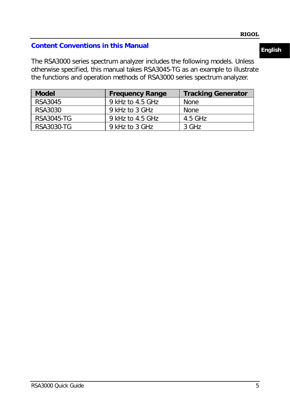### **Content Conventions in this Manual**

The RSA3000 series spectrum analyzer includes the following models. Unless otherwise specified, this manual takes RSA3045-TG as an example to illustrate the functions and operation methods of RSA3000 series spectrum analyzer.

| <b>Model</b> | <b>Frequency Range</b> | <b>Tracking Generator</b> |
|--------------|------------------------|---------------------------|
| RSA3045      | 9 kHz to 4.5 GHz       | None                      |
| RSA3030      | 9 kHz to 3 GHz         | None                      |
| RSA3045-TG   | 9 kHz to 4.5 GHz       | 4.5 GHz                   |
| RSA3030-TG   | 9 kHz to 3 GHz         | 3 GHz                     |

### **English**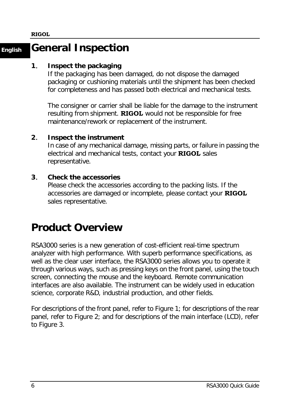### **English General Inspection**

#### **1**. **Inspect the packaging**

If the packaging has been damaged, do not dispose the damaged packaging or cushioning materials until the shipment has been checked for completeness and has passed both electrical and mechanical tests.

The consigner or carrier shall be liable for the damage to the instrument resulting from shipment. **RIGOL** would not be responsible for free maintenance/rework or replacement of the instrument.

#### **2**. **Inspect the instrument**

In case of any mechanical damage, missing parts, or failure in passing the electrical and mechanical tests, contact your **RIGOL** sales representative.

#### **3**. **Check the accessories**

Please check the accessories according to the packing lists. If the accessories are damaged or incomplete, please contact your **RIGOL** sales representative.

### **Product Overview**

RSA3000 series is a new generation of cost-efficient real-time spectrum analyzer with high performance. With superb performance specifications, as well as the clear user interface, the RSA3000 series allows you to operate it through various ways, such as pressing keys on the front panel, using the touch screen, connecting the mouse and the keyboard. Remote communication interfaces are also available. The instrument can be widely used in education science, corporate R&D, industrial production, and other fields.

For descriptions of the front panel, refer to [Figure 1;](#page-8-0) for descriptions of the rear panel, refer to [Figure 2;](#page-9-0) and for descriptions of the main interface (LCD), refer to [Figure 3.](#page-10-0)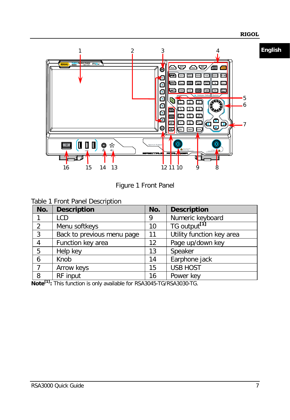

Figure 1 Front Panel

<span id="page-8-0"></span>

| Table 1 Front Panel Description |
|---------------------------------|
|---------------------------------|

| No.            | <b>Description</b>         | No. | <b>Description</b>        |
|----------------|----------------------------|-----|---------------------------|
|                | LCD                        | 9   | Numeric keyboard          |
| 2              | Menu softkeys              | 10  | TG output <sup>[1]</sup>  |
| 3              | Back to previous menu page | 11  | Utility function key area |
| $\overline{4}$ | Function key area          | 12  | Page up/down key          |
| 5              | Help key                   | 13  | Speaker                   |
| 6              | Knob                       | 14  | Earphone jack             |
| $\overline{7}$ | Arrow keys                 | 15  | <b>USB HOST</b>           |
| 8<br>. .       | RF input                   | 16  | Power key                 |

**Note[1]:** This function is only available for RSA3045-TG/RSA3030-TG.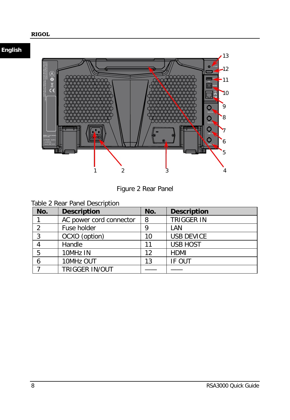

Figure 2 Rear Panel

<span id="page-9-0"></span>

| Table 2 Rear Panel Description |  |  |
|--------------------------------|--|--|
|                                |  |  |

| No. | <b>Description</b>      | No. | <b>Description</b> |
|-----|-------------------------|-----|--------------------|
|     | AC power cord connector | 8   | <b>TRIGGER IN</b>  |
| າ   | Fuse holder             | 9   | LAN                |
| 3   | OCXO (option)           | 10  | <b>USB DEVICE</b>  |
|     | Handle                  | 11  | <b>USB HOST</b>    |
| 5   | 10MHz IN                | 12  | <b>HDMI</b>        |
| 6   | 10MHz OUT               | 13  | IF OUT             |
|     | <b>TRIGGER IN/OUT</b>   |     |                    |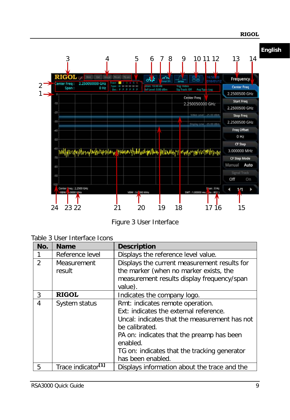

Figure 3 User Interface

<span id="page-10-0"></span>

|  | Table 3 User Interface Icons |  |
|--|------------------------------|--|
|  |                              |  |

| No.            | <b>Name</b>                    | <b>Description</b>                                                                                                                                                                                                                                                          |
|----------------|--------------------------------|-----------------------------------------------------------------------------------------------------------------------------------------------------------------------------------------------------------------------------------------------------------------------------|
|                | Reference level                | Displays the reference level value.                                                                                                                                                                                                                                         |
| $\mathfrak{D}$ | Measurement<br>result          | Displays the current measurement results for<br>the marker (when no marker exists, the<br>measurement results display frequency/span<br>value).                                                                                                                             |
| 3              | <b>RIGOL</b>                   | Indicates the company logo.                                                                                                                                                                                                                                                 |
| 4              | System status                  | Rmt: indicates remote operation.<br>Ext: indicates the external reference.<br>Uncal: indicates that the measurement has not<br>be calibrated.<br>PA on: indicates that the preamp has been<br>enabled.<br>TG on: indicates that the tracking generator<br>has been enabled. |
| 5              | Trace indicator <sup>[1]</sup> | Displays information about the trace and the                                                                                                                                                                                                                                |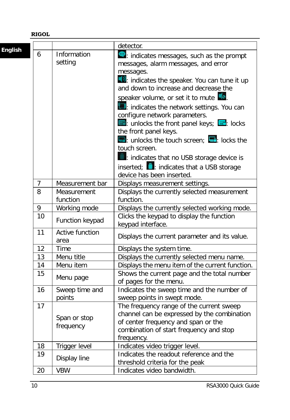|                |                |                         | detector.                                                                         |
|----------------|----------------|-------------------------|-----------------------------------------------------------------------------------|
| <b>English</b> | 6              | Information             |                                                                                   |
|                |                | setting                 | ne: indicates messages, such as the prompt                                        |
|                |                |                         | messages, alarm messages, and error                                               |
|                |                |                         | messages.                                                                         |
|                |                |                         | $\Box$ indicates the speaker. You can tune it up                                  |
|                |                |                         | and down to increase and decrease the                                             |
|                |                |                         | speaker volume, or set it to mute                                                 |
|                |                |                         | indicates the network settings. You can                                           |
|                |                |                         | configure network parameters.                                                     |
|                |                |                         | <b>External in Algency</b> : unlocks the front panel keys; $\frac{d}{dx}$ : locks |
|                |                |                         | the front panel keys.                                                             |
|                |                |                         | $\Box$ unlocks the touch screen; $\Box$ locks the                                 |
|                |                |                         | touch screen.                                                                     |
|                |                |                         | indicates that no USB storage device is                                           |
|                |                |                         | inserted; indicates that a USB storage                                            |
|                |                |                         | device has been inserted.                                                         |
|                | $\overline{7}$ | Measurement bar         | Displays measurement settings.                                                    |
|                | 8              | Measurement             | Displays the currently selected measurement                                       |
|                |                | function                | function.                                                                         |
|                | 9              | Working mode            | Displays the currently selected working mode.                                     |
|                | 10             | Function keypad         | Clicks the keypad to display the function                                         |
|                |                |                         | keypad interface.                                                                 |
|                | 11             | <b>Active function</b>  | Displays the current parameter and its value.                                     |
|                |                | area                    |                                                                                   |
|                | 12<br>13       | Time                    | Displays the system time.                                                         |
|                | 14             | Menu title<br>Menu item | Displays the currently selected menu name.                                        |
|                | 15             |                         | Displays the menu item of the current function.                                   |
|                |                | Menu page               | Shows the current page and the total number<br>of pages for the menu.             |
|                | 16             | Sweep time and          | Indicates the sweep time and the number of                                        |
|                |                | points                  | sweep points in swept mode.                                                       |
|                | 17             |                         | The frequency range of the current sweep                                          |
|                |                | Span or stop            | channel can be expressed by the combination                                       |
|                |                |                         | of center frequency and span or the                                               |
|                |                | frequency               | combination of start frequency and stop                                           |
|                |                |                         | frequency.                                                                        |
|                | 18             | Trigger level           | Indicates video trigger level.                                                    |
|                | 19             |                         | Indicates the readout reference and the                                           |
|                |                | Display line            | threshold criteria for the peak                                                   |
|                | 20             | <b>VBW</b>              | Indicates video bandwidth.                                                        |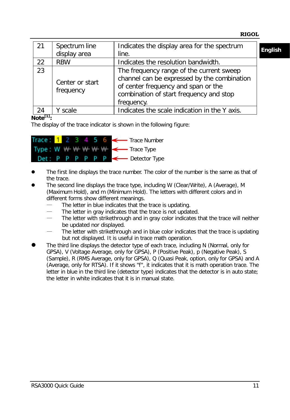| 21 | Spectrum line<br>display area | Indicates the display area for the spectrum<br>line.                                                                                                                                    | <b>English</b> |
|----|-------------------------------|-----------------------------------------------------------------------------------------------------------------------------------------------------------------------------------------|----------------|
| 22 | <b>RBW</b>                    | Indicates the resolution bandwidth.                                                                                                                                                     |                |
| 23 | Center or start<br>frequency  | The frequency range of the current sweep<br>channel can be expressed by the combination<br>of center frequency and span or the<br>combination of start frequency and stop<br>frequency. |                |
| 24 | scale                         | Indicates the scale indication in the Y axis.                                                                                                                                           |                |

**Note[1]:**

The display of the trace indicator is shown in the following figure:



- The first line displays the trace number. The color of the number is the same as that of the trace.
- The second line displays the trace type, including W (Clear/Write), A (Average), M (Maximum Hold), and m (Minimum Hold). The letters with different colors and in different forms show different meanings.
	- The letter in blue indicates that the trace is updating.
	- The letter in gray indicates that the trace is not updated.
	- The letter with strikethrough and in gray color indicates that the trace will neither be updated nor displayed.
	- The letter with strikethrough and in blue color indicates that the trace is updating but not displayed. It is useful in trace math operation.
- The third line displays the detector type of each trace, including N (Normal, only for GPSA), V (Voltage Average, only for GPSA), P (Positive Peak), p (Negative Peak), S (Sample), R (RMS Average, only for GPSA), Q (Quasi Peak, option, only for GPSA) and A (Average, only for RTSA). If it shows "f", it indicates that it is math operation trace. The letter in blue in the third line (detector type) indicates that the detector is in auto state; the letter in white indicates that it is in manual state.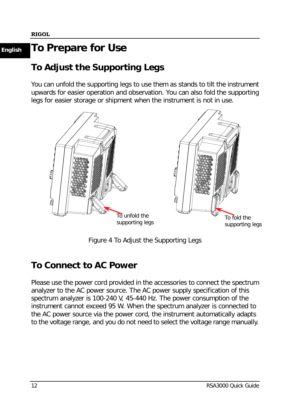### **English To Prepare for Use**

### **To Adjust the Supporting Legs**

You can unfold the supporting legs to use them as stands to tilt the instrument upwards for easier operation and observation. You can also fold the supporting legs for easier storage or shipment when the instrument is not in use.



Figure 4 To Adjust the Supporting Legs

### **To Connect to AC Power**

Please use the power cord provided in the accessories to connect the spectrum analyzer to the AC power source. The AC power supply specification of this spectrum analyzer is 100-240 V, 45-440 Hz. The power consumption of the instrument cannot exceed 95 W. When the spectrum analyzer is connected to the AC power source via the power cord, the instrument automatically adapts to the voltage range, and you do not need to select the voltage range manually.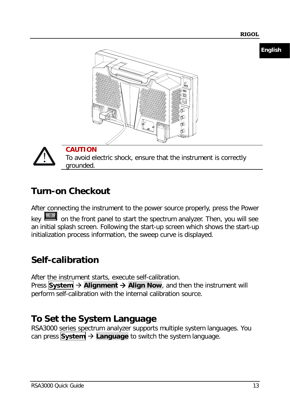**English**





**CAUTION** To avoid electric shock, ensure that the instrument is correctly grounded.

### **Turn-on Checkout**

After connecting the instrument to the power source properly, press the Power key on the front panel to start the spectrum analyzer. Then, you will see an initial splash screen. Following the start-up screen which shows the start-up initialization process information, the sweep curve is displayed.

### **Self-calibration**

After the instrument starts, execute self-calibration. Press **System** → Alignment → Align Now, and then the instrument will perform self-calibration with the internal calibration source.

### **To Set the System Language**

RSA3000 series spectrum analyzer supports multiple system languages. You can press **System Language** to switch the system language.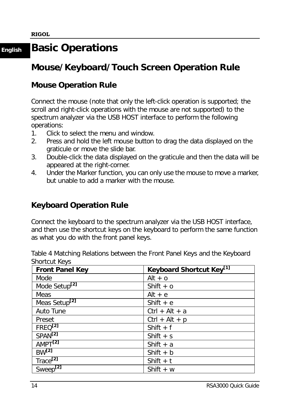### **English Basic Operations**

### **Mouse/Keyboard/Touch Screen Operation Rule**

### **Mouse Operation Rule**

Connect the mouse (note that only the left-click operation is supported; the scroll and right-click operations with the mouse are not supported) to the spectrum analyzer via the USB HOST interface to perform the following operations:

- 1. Click to select the menu and window.
- 2. Press and hold the left mouse button to drag the data displayed on the graticule or move the slide bar.
- 3. Double-click the data displayed on the graticule and then the data will be appeared at the right-corner.
- 4. Under the Marker function, you can only use the mouse to move a marker, but unable to add a marker with the mouse.

### **Keyboard Operation Rule**

Connect the keyboard to the spectrum analyzer via the USB HOST interface, and then use the shortcut keys on the keyboard to perform the same function as what you do with the front panel keys.

| <b>Front Panel Key</b>    | Keyboard Shortcut Key <sup>[1]</sup> |
|---------------------------|--------------------------------------|
| Mode                      | Alt $+$ o                            |
| Mode Setup <sup>[2]</sup> | Shift $+$ 0                          |
| Meas                      | Alt $+$ e                            |
| Meas Setup <sup>[2]</sup> | Shift $+e$                           |
| Auto Tune                 | $Ctrl + Alt + a$                     |
| Preset                    | $Ctrl + Alt + p$                     |
| FREQ <sup>[2]</sup>       | Shift $+$ f                          |
| SPAN <sup>[2]</sup>       | Shift $+$ s                          |
| AMPT <sup>[2]</sup>       | Shift $+ a$                          |
| $BW^{[2]}$                | Shift $+ b$                          |
| Trace <sup>[2]</sup>      | Shift $+$ t                          |
| $Sweep^{2}$               | Shift $+ w$                          |

<span id="page-15-0"></span>Table 4 Matching Relations between the Front Panel Keys and the Keyboard Shortcut Keys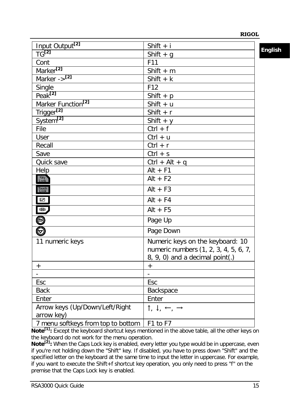| Input Output <sup>[2]</sup>                  | Shift $+ i$                                                                                                  | <b>English</b> |
|----------------------------------------------|--------------------------------------------------------------------------------------------------------------|----------------|
| $TG^{[2]}$                                   | Shift $+$ g                                                                                                  |                |
| Cont                                         | F11                                                                                                          |                |
| Marker <sup>[2]</sup>                        | Shift $+$ m                                                                                                  |                |
| Marker -> <sup>[2]</sup>                     | Shift $+ k$                                                                                                  |                |
| Single                                       | F <sub>12</sub>                                                                                              |                |
| Peak <sup>[2]</sup>                          | Shift $+$ p                                                                                                  |                |
| Marker Function <sup>[2]</sup>               | Shift $+ u$                                                                                                  |                |
| Trigger <sup>[2]</sup>                       | Shift $+ r$                                                                                                  |                |
| System <sup>[2]</sup>                        | Shift + $y$                                                                                                  |                |
| File                                         | $Ctrl + f$                                                                                                   |                |
| User                                         | $Ctrl + u$                                                                                                   |                |
| Recall                                       | $Ctrl + r$                                                                                                   |                |
| Save                                         | $Ctrl + s$                                                                                                   |                |
| Quick save                                   | $Ctrl + Alt + q$                                                                                             |                |
| Help                                         | $Alt + F1$                                                                                                   |                |
| Key<br>Lock                                  | $Alt + F2$                                                                                                   |                |
| Touch<br>Lock                                | $Alt + F3$                                                                                                   |                |
| $\blacksquare$                               | $Alt + F4$                                                                                                   |                |
| 1日                                           | $Alt + F5$                                                                                                   |                |
| o<br>O                                       | Page Up                                                                                                      |                |
|                                              | Page Down                                                                                                    |                |
| 11 numeric keys                              | Numeric keys on the keyboard: 10<br>numeric numbers (1, 2, 3, 4, 5, 6, 7,<br>8, 9, 0) and a decimal point(.) |                |
| $^{+}$                                       | $\ddot{}$                                                                                                    |                |
|                                              |                                                                                                              |                |
| Esc                                          | Esc                                                                                                          |                |
| <b>Back</b>                                  | Backspace                                                                                                    |                |
| Enter                                        | Enter                                                                                                        |                |
| Arrow keys (Up/Down/Left/Right<br>arrow key) | $\uparrow, \downarrow, \leftarrow, \rightarrow$                                                              |                |
| 7 menu softkeys from top to bottom           | $\overline{F}$ 1 to F7                                                                                       |                |

Note<sup>[1]</sup>: Except the keyboard shortcut keys mentioned in the above table, all the other keys on the keyboard do not work for the menu operation.

Note<sup>[2]</sup>: When the Caps Lock key is enabled, every letter you type would be in uppercase, even if you're not holding down the "Shift" key. If disabled, you have to press down "Shift" and the specified letter on the keyboard at the same time to input the letter in uppercase. For example, if you want to execute the Shift+f shortcut key operation, you only need to press "f" on the premise that the Caps Lock key is enabled.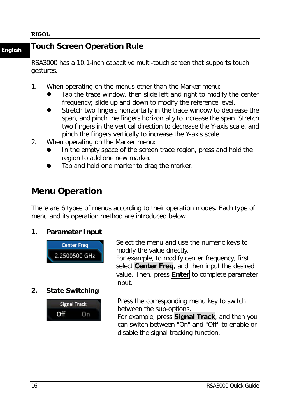### **English Touch Screen Operation Rule**

RSA3000 has a 10.1-inch capacitive multi-touch screen that supports touch gestures.

- 1. When operating on the menus other than the Marker menu:
	- Tap the trace window, then slide left and right to modify the center frequency; slide up and down to modify the reference level.
	- Stretch two fingers horizontally in the trace window to decrease the span, and pinch the fingers horizontally to increase the span. Stretch two fingers in the vertical direction to decrease the Y-axis scale, and pinch the fingers vertically to increase the Y-axis scale.
- 2. When operating on the Marker menu:
	- In the empty space of the screen trace region, press and hold the region to add one new marker.
	- Tap and hold one marker to drag the marker.

### **Menu Operation**

There are 6 types of menus according to their operation modes. Each type of menu and its operation method are introduced below.

### **1. Parameter Input**



**2. State Switching**



Select the menu and use the numeric keys to modify the value directly. For example, to modify center frequency, first select **Center Freq**, and then input the desired value. Then, press **Enter** to complete parameter input.

Press the corresponding menu key to switch between the sub-options.

For example, press **Signal Track**, and then you can switch between "On" and "Off" to enable or disable the signal tracking function.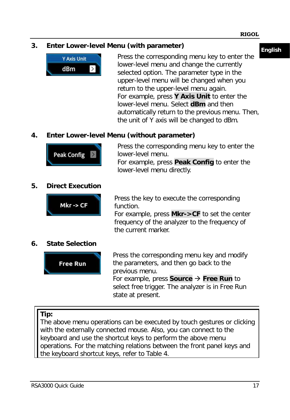### **English 3. Enter Lower-level Menu (with parameter)**



Press the corresponding menu key to enter the lower-level menu and change the currently selected option. The parameter type in the upper-level menu will be changed when you return to the upper-level menu again. For example, press **Y Axis Unit** to enter the lower-level menu. Select **dBm** and then automatically return to the previous menu. Then, the unit of Y axis will be changed to dBm.

### **4. Enter Lower-level Menu (without parameter)**



Press the corresponding menu key to enter the lower-level menu. For example, press **Peak Config** to enter the lower-level menu directly.

### **5. Direct Execution**



Press the key to execute the corresponding function.

For example, press **Mkr->CF** to set the center frequency of the analyzer to the frequency of the current marker.

#### **6. State Selection**



Press the corresponding menu key and modify the parameters, and then go back to the previous menu. For example, press **Source Free Run** to select free trigger. The analyzer is in Free Run state at present.

### **Tip:**

The above menu operations can be executed by touch gestures or clicking with the externally connected mouse. Also, you can connect to the keyboard and use the shortcut keys to perform the above menu operations. For the matching relations between the front panel keys and the keyboard shortcut keys, refer to [Table 4.](#page-15-0)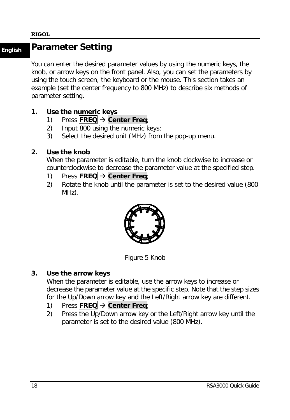### **English Parameter Setting**

You can enter the desired parameter values by using the numeric keys, the knob, or arrow keys on the front panel. Also, you can set the parameters by using the touch screen, the keyboard or the mouse. This section takes an example (set the center frequency to 800 MHz) to describe six methods of parameter setting.

### **1. Use the numeric keys**

- 1) Press **FREQ Center Freq**;
- 2) Input 800 using the numeric keys;
- 3) Select the desired unit (MHz) from the pop-up menu.

### **2. Use the knob**

When the parameter is editable, turn the knob clockwise to increase or counterclockwise to decrease the parameter value at the specified step.

- 1) Press **FREQ Center Freq**;
- 2) Rotate the knob until the parameter is set to the desired value (800 MHz).



Figure 5 Knob

#### **3. Use the arrow keys**

When the parameter is editable, use the arrow keys to increase or decrease the parameter value at the specific step. Note that the step sizes for the Up/Down arrow key and the Left/Right arrow key are different.

- 1) Press **FREQ Center Freq**;
- 2) Press the Up/Down arrow key or the Left/Right arrow key until the parameter is set to the desired value (800 MHz).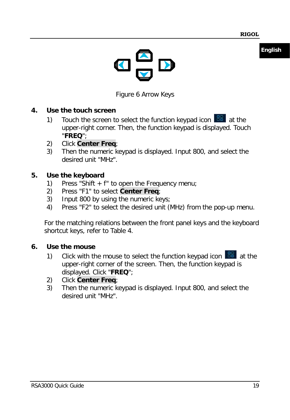**English**



Figure 6 Arrow Keys

### **4. Use the touch screen**

- 1) Touch the screen to select the function keypad icon  $\frac{12}{100}$  at the upper-right corner. Then, the function keypad is displayed. Touch "**FREQ**";
- 2) Click **Center Freq**;
- 3) Then the numeric keypad is displayed. Input 800, and select the desired unit "MHz".

### **5. Use the keyboard**

- 1) Press "Shift  $+$  f" to open the Frequency menu:
- 2) Press "F1" to select **Center Freq**;
- 3) Input 800 by using the numeric keys;
- 4) Press "F2" to select the desired unit (MHz) from the pop-up menu.

For the matching relations between the front panel keys and the keyboard shortcut keys, refer to [Table 4.](#page-15-0)

### **6. Use the mouse**

- 1) Click with the mouse to select the function keypad icon  $\frac{12}{100}$  at the upper-right corner of the screen. Then, the function keypad is displayed. Click "**FREQ**";
- 2) Click **Center Freq**;
- 3) Then the numeric keypad is displayed. Input 800, and select the desired unit "MHz".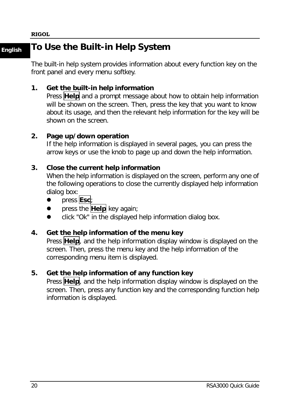### **English To Use the Built-in Help System**

The built-in help system provides information about every function key on the front panel and every menu softkey.

### **1. Get the built-in help information**

Press **Help** and a prompt message about how to obtain help information will be shown on the screen. Then, press the key that you want to know about its usage, and then the relevant help information for the key will be shown on the screen.

#### **2. Page up/down operation**

If the help information is displayed in several pages, you can press the arrow keys or use the knob to page up and down the help information.

#### **3. Close the current help information**

When the help information is displayed on the screen, perform any one of the following operations to close the currently displayed help information dialog box:

- press **Esc**;
- press the **Help** key again;
- click "Ok" in the displayed help information dialog box.

#### **4. Get the help information of the menu key**

Press **Help**, and the help information display window is displayed on the screen. Then, press the menu key and the help information of the corresponding menu item is displayed.

#### **5. Get the help information of any function key**

Press **Help**, and the help information display window is displayed on the screen. Then, press any function key and the corresponding function help information is displayed.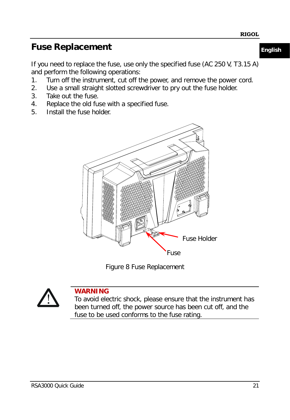### **Fuse Replacement English**

If you need to replace the fuse, use only the specified fuse (AC 250 V, T3.15 A) and perform the following operations:

- 1. Turn off the instrument, cut off the power, and remove the power cord.
- 2. Use a small straight slotted screwdriver to pry out the fuse holder.
- 3. Take out the fuse.
- 4. Replace the old fuse with a specified fuse.
- 5. Install the fuse holder.



Figure 8 Fuse Replacement



### **WARNING**

To avoid electric shock, please ensure that the instrument has been turned off, the power source has been cut off, and the fuse to be used conforms to the fuse rating.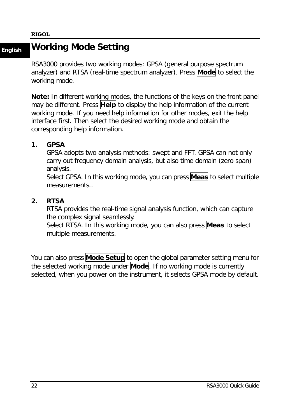### **English Working Mode Setting**

RSA3000 provides two working modes: GPSA (general purpose spectrum analyzer) and RTSA (real-time spectrum analyzer). Press **Mode** to select the working mode.

**Note:** In different working modes, the functions of the keys on the front panel may be different. Press **Help** to display the help information of the current working mode. If you need help information for other modes, exit the help interface first. Then select the desired working mode and obtain the corresponding help information.

#### **1. GPSA**

GPSA adopts two analysis methods: swept and FFT. GPSA can not only carry out frequency domain analysis, but also time domain (zero span) analysis.

Select GPSA. In this working mode, you can press **Meas** to select multiple measurements..

### **2. RTSA**

RTSA provides the real-time signal analysis function, which can capture the complex signal seamlessly.

Select RTSA. In this working mode, you can also press **Meas** to select multiple measurements.

You can also press **Mode Setup** to open the global parameter setting menu for the selected working mode under **Mode**. If no working mode is currently selected, when you power on the instrument, it selects GPSA mode by default.